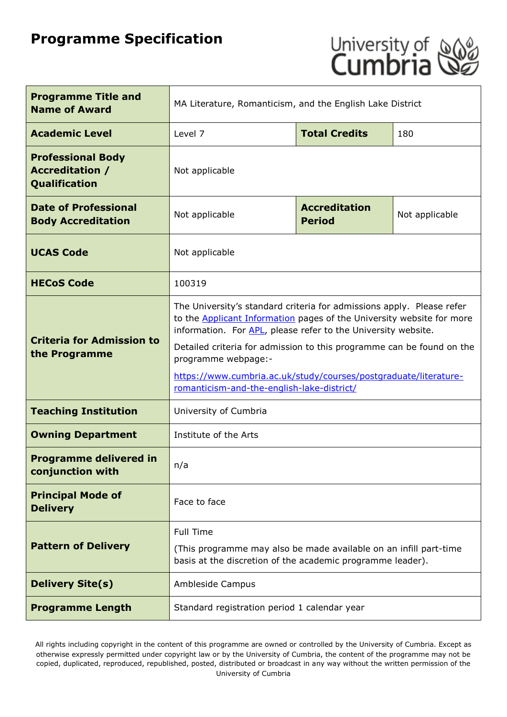# **Programme Specification**



| <b>Programme Title and</b><br><b>Name of Award</b>                         | MA Literature, Romanticism, and the English Lake District                                                                                                                                                                                                                                                                                                                                                                                |                      |                |
|----------------------------------------------------------------------------|------------------------------------------------------------------------------------------------------------------------------------------------------------------------------------------------------------------------------------------------------------------------------------------------------------------------------------------------------------------------------------------------------------------------------------------|----------------------|----------------|
| <b>Academic Level</b>                                                      | Level 7                                                                                                                                                                                                                                                                                                                                                                                                                                  | <b>Total Credits</b> | 180            |
| <b>Professional Body</b><br><b>Accreditation /</b><br><b>Qualification</b> | Not applicable                                                                                                                                                                                                                                                                                                                                                                                                                           |                      |                |
| <b>Date of Professional</b><br><b>Body Accreditation</b>                   | <b>Accreditation</b><br>Not applicable<br><b>Period</b>                                                                                                                                                                                                                                                                                                                                                                                  |                      | Not applicable |
| <b>UCAS Code</b>                                                           | Not applicable                                                                                                                                                                                                                                                                                                                                                                                                                           |                      |                |
| <b>HECoS Code</b>                                                          | 100319                                                                                                                                                                                                                                                                                                                                                                                                                                   |                      |                |
| <b>Criteria for Admission to</b><br>the Programme                          | The University's standard criteria for admissions apply. Please refer<br>to the <b>Applicant Information</b> pages of the University website for more<br>information. For APL, please refer to the University website.<br>Detailed criteria for admission to this programme can be found on the<br>programme webpage:-<br>https://www.cumbria.ac.uk/study/courses/postgraduate/literature-<br>romanticism-and-the-english-lake-district/ |                      |                |
| <b>Teaching Institution</b>                                                | University of Cumbria                                                                                                                                                                                                                                                                                                                                                                                                                    |                      |                |
| <b>Owning Department</b>                                                   | Institute of the Arts                                                                                                                                                                                                                                                                                                                                                                                                                    |                      |                |
| <b>Programme delivered in</b><br>conjunction with                          | n/a                                                                                                                                                                                                                                                                                                                                                                                                                                      |                      |                |
| <b>Principal Mode of</b><br><b>Delivery</b>                                | Face to face                                                                                                                                                                                                                                                                                                                                                                                                                             |                      |                |
| <b>Pattern of Delivery</b>                                                 | <b>Full Time</b><br>(This programme may also be made available on an infill part-time<br>basis at the discretion of the academic programme leader).                                                                                                                                                                                                                                                                                      |                      |                |
| <b>Delivery Site(s)</b>                                                    | Ambleside Campus                                                                                                                                                                                                                                                                                                                                                                                                                         |                      |                |
| <b>Programme Length</b>                                                    | Standard registration period 1 calendar year                                                                                                                                                                                                                                                                                                                                                                                             |                      |                |

All rights including copyright in the content of this programme are owned or controlled by the University of Cumbria. Except as otherwise expressly permitted under copyright law or by the University of Cumbria, the content of the programme may not be copied, duplicated, reproduced, republished, posted, distributed or broadcast in any way without the written permission of the University of Cumbria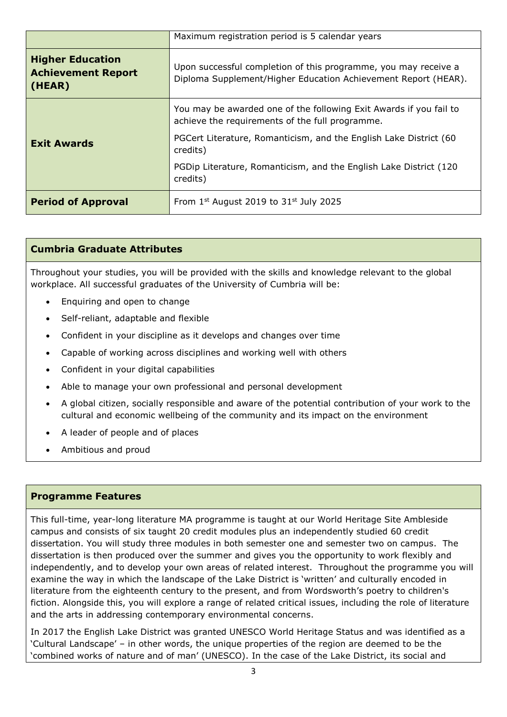|                                                                | Maximum registration period is 5 calendar years                                                                                   |  |
|----------------------------------------------------------------|-----------------------------------------------------------------------------------------------------------------------------------|--|
| <b>Higher Education</b><br><b>Achievement Report</b><br>(HEAR) | Upon successful completion of this programme, you may receive a<br>Diploma Supplement/Higher Education Achievement Report (HEAR). |  |
|                                                                | You may be awarded one of the following Exit Awards if you fail to<br>achieve the requirements of the full programme.             |  |
| <b>Exit Awards</b>                                             | PGCert Literature, Romanticism, and the English Lake District (60<br>credits)                                                     |  |
|                                                                | PGDip Literature, Romanticism, and the English Lake District (120)<br>credits)                                                    |  |
| <b>Period of Approval</b>                                      | From $1^{st}$ August 2019 to $31^{st}$ July 2025                                                                                  |  |

## **Cumbria Graduate Attributes**

Throughout your studies, you will be provided with the skills and knowledge relevant to the global workplace. All successful graduates of the University of Cumbria will be:

- Enquiring and open to change
- Self-reliant, adaptable and flexible
- Confident in your discipline as it develops and changes over time
- Capable of working across disciplines and working well with others
- Confident in your digital capabilities
- Able to manage your own professional and personal development
- A global citizen, socially responsible and aware of the potential contribution of your work to the cultural and economic wellbeing of the community and its impact on the environment
- A leader of people and of places
- Ambitious and proud

#### **Programme Features**

This full-time, year-long literature MA programme is taught at our World Heritage Site Ambleside campus and consists of six taught 20 credit modules plus an independently studied 60 credit dissertation. You will study three modules in both semester one and semester two on campus. The dissertation is then produced over the summer and gives you the opportunity to work flexibly and independently, and to develop your own areas of related interest. Throughout the programme you will examine the way in which the landscape of the Lake District is 'written' and culturally encoded in literature from the eighteenth century to the present, and from Wordsworth's poetry to children's fiction. Alongside this, you will explore a range of related critical issues, including the role of literature and the arts in addressing contemporary environmental concerns.

In 2017 the English Lake District was granted UNESCO World Heritage Status and was identified as a 'Cultural Landscape' – in other words, the unique properties of the region are deemed to be the 'combined works of nature and of man' (UNESCO). In the case of the Lake District, its social and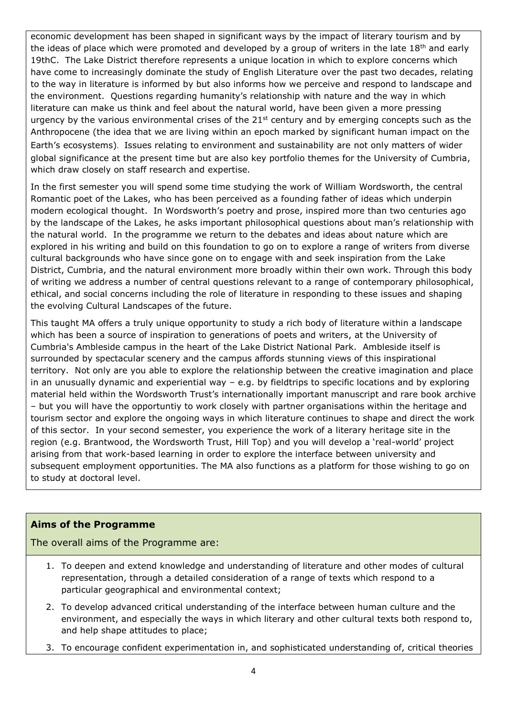economic development has been shaped in significant ways by the impact of literary tourism and by the ideas of place which were promoted and developed by a group of writers in the late  $18<sup>th</sup>$  and early 19thC. The Lake District therefore represents a unique location in which to explore concerns which have come to increasingly dominate the study of English Literature over the past two decades, relating to the way in literature is informed by but also informs how we perceive and respond to landscape and the environment. Questions regarding humanity's relationship with nature and the way in which literature can make us think and feel about the natural world, have been given a more pressing urgency by the various environmental crises of the 21<sup>st</sup> century and by emerging concepts such as the Anthropocene (the idea that we are living within an epoch marked by significant human impact on the Earth's ecosystems). Issues relating to environment and sustainability are not only matters of wider global significance at the present time but are also key portfolio themes for the University of Cumbria, which draw closely on staff research and expertise.

In the first semester you will spend some time studying the work of William Wordsworth, the central Romantic poet of the Lakes, who has been perceived as a founding father of ideas which underpin modern ecological thought. In Wordsworth's poetry and prose, inspired more than two centuries ago by the landscape of the Lakes, he asks important philosophical questions about man's relationship with the natural world. In the programme we return to the debates and ideas about nature which are explored in his writing and build on this foundation to go on to explore a range of writers from diverse cultural backgrounds who have since gone on to engage with and seek inspiration from the Lake District, Cumbria, and the natural environment more broadly within their own work. Through this body of writing we address a number of central questions relevant to a range of contemporary philosophical, ethical, and social concerns including the role of literature in responding to these issues and shaping the evolving Cultural Landscapes of the future.

This taught MA offers a truly unique opportunity to study a rich body of literature within a landscape which has been a source of inspiration to generations of poets and writers, at the University of Cumbria's Ambleside campus in the heart of the Lake District National Park. Ambleside itself is surrounded by spectacular scenery and the campus affords stunning views of this inspirational territory. Not only are you able to explore the relationship between the creative imagination and place in an unusually dynamic and experiential way – e.g. by fieldtrips to specific locations and by exploring material held within the Wordsworth Trust's internationally important manuscript and rare book archive – but you will have the opportuntiy to work closely with partner organisations within the heritage and tourism sector and explore the ongoing ways in which literature continues to shape and direct the work of this sector. In your second semester, you experience the work of a literary heritage site in the region (e.g. Brantwood, the Wordsworth Trust, Hill Top) and you will develop a 'real-world' project arising from that work-based learning in order to explore the interface between university and subsequent employment opportunities. The MA also functions as a platform for those wishing to go on to study at doctoral level.

#### **Aims of the Programme**

The overall aims of the Programme are:

- 1. To deepen and extend knowledge and understanding of literature and other modes of cultural representation, through a detailed consideration of a range of texts which respond to a particular geographical and environmental context;
- 2. To develop advanced critical understanding of the interface between human culture and the environment, and especially the ways in which literary and other cultural texts both respond to, and help shape attitudes to place;
- 3. To encourage confident experimentation in, and sophisticated understanding of, critical theories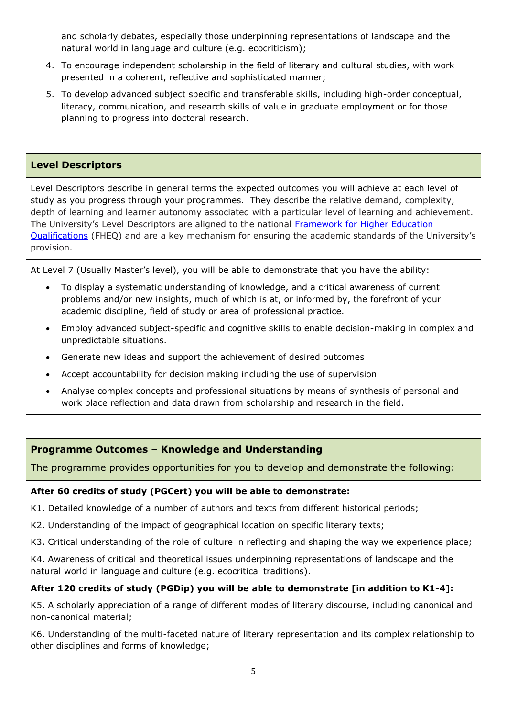and scholarly debates, especially those underpinning representations of landscape and the natural world in language and culture (e.g. ecocriticism);

- 4. To encourage independent scholarship in the field of literary and cultural studies, with work presented in a coherent, reflective and sophisticated manner;
- 5. To develop advanced subject specific and transferable skills, including high-order conceptual, literacy, communication, and research skills of value in graduate employment or for those planning to progress into doctoral research.

# **Level Descriptors**

Level Descriptors describe in general terms the expected outcomes you will achieve at each level of study as you progress through your programmes. They describe the relative demand, complexity, depth of learning and learner autonomy associated with a particular level of learning and achievement. The University's Level Descriptors are aligned to the national [Framework for Higher Education](http://www.qaa.ac.uk/en/Publications/Documents/qualifications-frameworks.pdf)  [Qualifications](http://www.qaa.ac.uk/en/Publications/Documents/qualifications-frameworks.pdf) (FHEQ) and are a key mechanism for ensuring the academic standards of the University's provision.

At Level 7 (Usually Master's level), you will be able to demonstrate that you have the ability:

- To display a systematic understanding of knowledge, and a critical awareness of current problems and/or new insights, much of which is at, or informed by, the forefront of your academic discipline, field of study or area of professional practice.
- Employ advanced subject-specific and cognitive skills to enable decision-making in complex and unpredictable situations.
- Generate new ideas and support the achievement of desired outcomes
- Accept accountability for decision making including the use of supervision
- Analyse complex concepts and professional situations by means of synthesis of personal and work place reflection and data drawn from scholarship and research in the field.

#### **Programme Outcomes – Knowledge and Understanding**

The programme provides opportunities for you to develop and demonstrate the following:

#### **After 60 credits of study (PGCert) you will be able to demonstrate:**

K1. Detailed knowledge of a number of authors and texts from different historical periods;

- K2. Understanding of the impact of geographical location on specific literary texts;
- K3. Critical understanding of the role of culture in reflecting and shaping the way we experience place;

K4. Awareness of critical and theoretical issues underpinning representations of landscape and the natural world in language and culture (e.g. ecocritical traditions).

#### **After 120 credits of study (PGDip) you will be able to demonstrate [in addition to K1-4]:**

K5. A scholarly appreciation of a range of different modes of literary discourse, including canonical and non-canonical material;

K6. Understanding of the multi-faceted nature of literary representation and its complex relationship to other disciplines and forms of knowledge;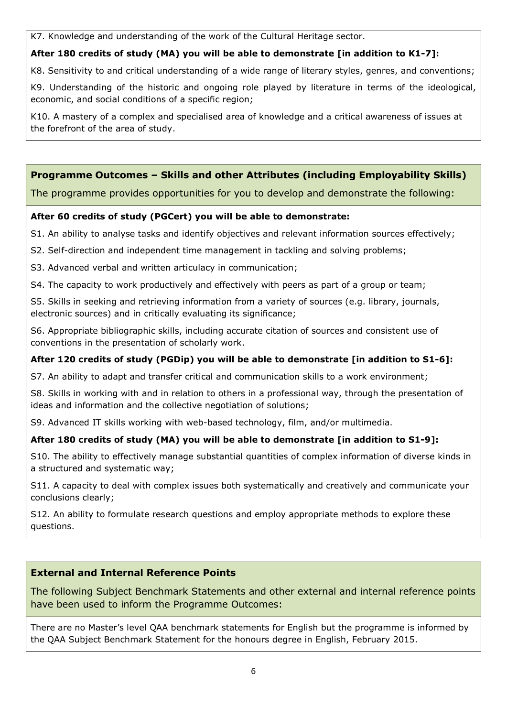K7. Knowledge and understanding of the work of the Cultural Heritage sector.

# **After 180 credits of study (MA) you will be able to demonstrate [in addition to K1-7]:**

K8. Sensitivity to and critical understanding of a wide range of literary styles, genres, and conventions;

K9. Understanding of the historic and ongoing role played by literature in terms of the ideological, economic, and social conditions of a specific region;

K10. A mastery of a complex and specialised area of knowledge and a critical awareness of issues at the forefront of the area of study.

# **Programme Outcomes – Skills and other Attributes (including Employability Skills)**

The programme provides opportunities for you to develop and demonstrate the following:

## **After 60 credits of study (PGCert) you will be able to demonstrate:**

S1. An ability to analyse tasks and identify objectives and relevant information sources effectively;

- S2. Self-direction and independent time management in tackling and solving problems;
- S3. Advanced verbal and written articulacy in communication;
- S4. The capacity to work productively and effectively with peers as part of a group or team;

S5. Skills in seeking and retrieving information from a variety of sources (e.g. library, journals, electronic sources) and in critically evaluating its significance;

S6. Appropriate bibliographic skills, including accurate citation of sources and consistent use of conventions in the presentation of scholarly work.

#### **After 120 credits of study (PGDip) you will be able to demonstrate [in addition to S1-6]:**

S7. An ability to adapt and transfer critical and communication skills to a work environment;

S8. Skills in working with and in relation to others in a professional way, through the presentation of ideas and information and the collective negotiation of solutions;

S9. Advanced IT skills working with web-based technology, film, and/or multimedia.

# **After 180 credits of study (MA) you will be able to demonstrate [in addition to S1-9]:**

S10. The ability to effectively manage substantial quantities of complex information of diverse kinds in a structured and systematic way;

S11. A capacity to deal with complex issues both systematically and creatively and communicate your conclusions clearly;

S12. An ability to formulate research questions and employ appropriate methods to explore these questions.

# **External and Internal Reference Points**

The following Subject Benchmark Statements and other external and internal reference points have been used to inform the Programme Outcomes:

There are no Master's level QAA benchmark statements for English but the programme is informed by the QAA Subject Benchmark Statement for the honours degree in English, February 2015.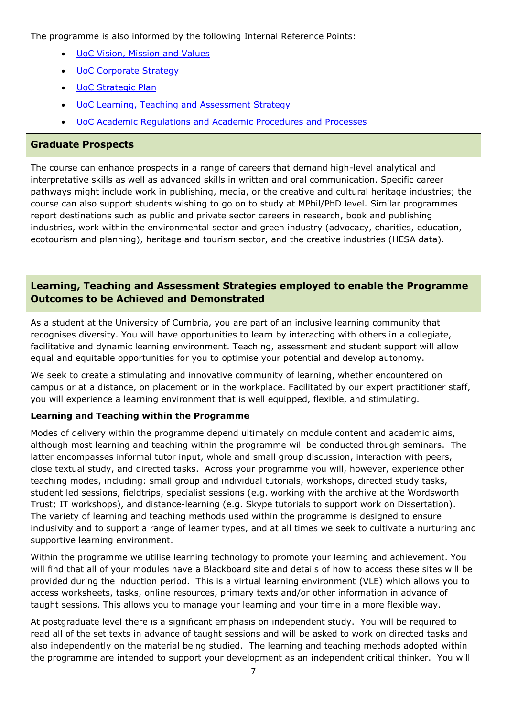The programme is also informed by the following Internal Reference Points:

- [UoC Vision, Mission and Values](https://www.cumbria.ac.uk/about/organisation/mission-vision-and-values/)
- [UoC Corporate Strategy](../../../../../../../../../../../../CL/CorporateLibrary/•%09https:/www.cumbria.ac.uk/media/university-of-cumbria-website/content-assets/public/vco/documents/communications/publications/CorporateStrategy2015-18.pdf)
- [UoC Strategic Plan](https://www.cumbria.ac.uk/about/publications/strategic-plan/)
- [UoC Learning, Teaching and Assessment Strategy](https://www.cumbria.ac.uk/media/university-of-cumbria-website/content-assets/public/aqs/documents/LearningTeachingAssessmentStrategy.pdf)
- [UoC Academic Regulations and Academic Procedures and Processes](https://www.cumbria.ac.uk/about/organisation/professional-services/academic-quality-and-development/academic-regulations/)

# **Graduate Prospects**

The course can enhance prospects in a range of careers that demand high-level analytical and interpretative skills as well as advanced skills in written and oral communication. Specific career pathways might include work in publishing, media, or the creative and cultural heritage industries; the course can also support students wishing to go on to study at MPhil/PhD level. Similar programmes report destinations such as public and private sector careers in research, book and publishing industries, work within the environmental sector and green industry (advocacy, charities, education, ecotourism and planning), heritage and tourism sector, and the creative industries (HESA data).

# **Learning, Teaching and Assessment Strategies employed to enable the Programme Outcomes to be Achieved and Demonstrated**

As a student at the University of Cumbria, you are part of an inclusive learning community that recognises diversity. You will have opportunities to learn by interacting with others in a collegiate, facilitative and dynamic learning environment. Teaching, assessment and student support will allow equal and equitable opportunities for you to optimise your potential and develop autonomy.

We seek to create a stimulating and innovative community of learning, whether encountered on campus or at a distance, on placement or in the workplace. Facilitated by our expert practitioner staff, you will experience a learning environment that is well equipped, flexible, and stimulating.

# **Learning and Teaching within the Programme**

Modes of delivery within the programme depend ultimately on module content and academic aims, although most learning and teaching within the programme will be conducted through seminars. The latter encompasses informal tutor input, whole and small group discussion, interaction with peers, close textual study, and directed tasks. Across your programme you will, however, experience other teaching modes, including: small group and individual tutorials, workshops, directed study tasks, student led sessions, fieldtrips, specialist sessions (e.g. working with the archive at the Wordsworth Trust; IT workshops), and distance-learning (e.g. Skype tutorials to support work on Dissertation). The variety of learning and teaching methods used within the programme is designed to ensure inclusivity and to support a range of learner types, and at all times we seek to cultivate a nurturing and supportive learning environment.

Within the programme we utilise learning technology to promote your learning and achievement. You will find that all of your modules have a Blackboard site and details of how to access these sites will be provided during the induction period. This is a virtual learning environment (VLE) which allows you to access worksheets, tasks, online resources, primary texts and/or other information in advance of taught sessions. This allows you to manage your learning and your time in a more flexible way.

At postgraduate level there is a significant emphasis on independent study. You will be required to read all of the set texts in advance of taught sessions and will be asked to work on directed tasks and also independently on the material being studied. The learning and teaching methods adopted within the programme are intended to support your development as an independent critical thinker. You will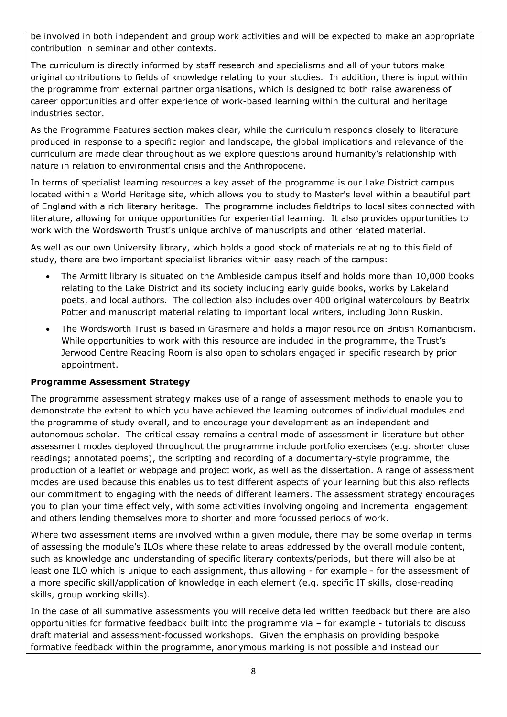be involved in both independent and group work activities and will be expected to make an appropriate contribution in seminar and other contexts.

The curriculum is directly informed by staff research and specialisms and all of your tutors make original contributions to fields of knowledge relating to your studies. In addition, there is input within the programme from external partner organisations, which is designed to both raise awareness of career opportunities and offer experience of work-based learning within the cultural and heritage industries sector.

As the Programme Features section makes clear, while the curriculum responds closely to literature produced in response to a specific region and landscape, the global implications and relevance of the curriculum are made clear throughout as we explore questions around humanity's relationship with nature in relation to environmental crisis and the Anthropocene.

In terms of specialist learning resources a key asset of the programme is our Lake District campus located within a World Heritage site, which allows you to study to Master's level within a beautiful part of England with a rich literary heritage. The programme includes fieldtrips to local sites connected with literature, allowing for unique opportunities for experiential learning. It also provides opportunities to work with the Wordsworth Trust's unique archive of manuscripts and other related material.

As well as our own University library, which holds a good stock of materials relating to this field of study, there are two important specialist libraries within easy reach of the campus:

- The Armitt library is situated on the Ambleside campus itself and holds more than 10,000 books relating to the Lake District and its society including early guide books, works by Lakeland poets, and local authors. The collection also includes over 400 original watercolours by Beatrix Potter and manuscript material relating to important local writers, including John Ruskin.
- The Wordsworth Trust is based in Grasmere and holds a major resource on British Romanticism. While opportunities to work with this resource are included in the programme, the Trust's Jerwood Centre Reading Room is also open to scholars engaged in specific research by prior appointment.

#### **Programme Assessment Strategy**

The programme assessment strategy makes use of a range of assessment methods to enable you to demonstrate the extent to which you have achieved the learning outcomes of individual modules and the programme of study overall, and to encourage your development as an independent and autonomous scholar. The critical essay remains a central mode of assessment in literature but other assessment modes deployed throughout the programme include portfolio exercises (e.g. shorter close readings; annotated poems), the scripting and recording of a documentary-style programme, the production of a leaflet or webpage and project work, as well as the dissertation. A range of assessment modes are used because this enables us to test different aspects of your learning but this also reflects our commitment to engaging with the needs of different learners. The assessment strategy encourages you to plan your time effectively, with some activities involving ongoing and incremental engagement and others lending themselves more to shorter and more focussed periods of work.

Where two assessment items are involved within a given module, there may be some overlap in terms of assessing the module's ILOs where these relate to areas addressed by the overall module content, such as knowledge and understanding of specific literary contexts/periods, but there will also be at least one ILO which is unique to each assignment, thus allowing - for example - for the assessment of a more specific skill/application of knowledge in each element (e.g. specific IT skills, close-reading skills, group working skills).

In the case of all summative assessments you will receive detailed written feedback but there are also opportunities for formative feedback built into the programme via – for example - tutorials to discuss draft material and assessment-focussed workshops. Given the emphasis on providing bespoke formative feedback within the programme, anonymous marking is not possible and instead our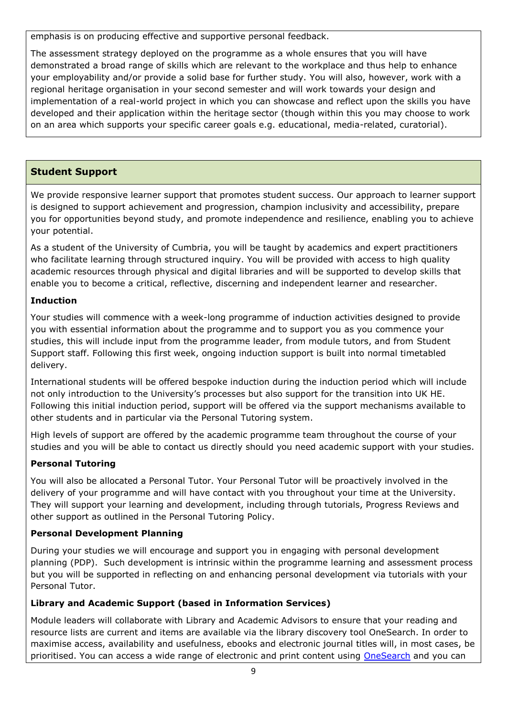emphasis is on producing effective and supportive personal feedback.

The assessment strategy deployed on the programme as a whole ensures that you will have demonstrated a broad range of skills which are relevant to the workplace and thus help to enhance your employability and/or provide a solid base for further study. You will also, however, work with a regional heritage organisation in your second semester and will work towards your design and implementation of a real-world project in which you can showcase and reflect upon the skills you have developed and their application within the heritage sector (though within this you may choose to work on an area which supports your specific career goals e.g. educational, media-related, curatorial).

# **Student Support**

We provide responsive learner support that promotes student success. Our approach to learner support is designed to support achievement and progression, champion inclusivity and accessibility, prepare you for opportunities beyond study, and promote independence and resilience, enabling you to achieve your potential.

As a student of the University of Cumbria, you will be taught by academics and expert practitioners who facilitate learning through structured inquiry. You will be provided with access to high quality academic resources through physical and digital libraries and will be supported to develop skills that enable you to become a critical, reflective, discerning and independent learner and researcher.

# **Induction**

Your studies will commence with a week-long programme of induction activities designed to provide you with essential information about the programme and to support you as you commence your studies, this will include input from the programme leader, from module tutors, and from Student Support staff. Following this first week, ongoing induction support is built into normal timetabled delivery.

International students will be offered bespoke induction during the induction period which will include not only introduction to the University's processes but also support for the transition into UK HE. Following this initial induction period, support will be offered via the support mechanisms available to other students and in particular via the Personal Tutoring system.

High levels of support are offered by the academic programme team throughout the course of your studies and you will be able to contact us directly should you need academic support with your studies.

# **Personal Tutoring**

You will also be allocated a Personal Tutor. Your Personal Tutor will be proactively involved in the delivery of your programme and will have contact with you throughout your time at the University. They will support your learning and development, including through tutorials, Progress Reviews and other support as outlined in the Personal Tutoring Policy.

# **Personal Development Planning**

During your studies we will encourage and support you in engaging with personal development planning (PDP). Such development is intrinsic within the programme learning and assessment process but you will be supported in reflecting on and enhancing personal development via tutorials with your Personal Tutor.

# **Library and Academic Support (based in Information Services)**

Module leaders will collaborate with Library and Academic Advisors to ensure that your reading and resource lists are current and items are available via the library discovery tool OneSearch. In order to maximise access, availability and usefulness, ebooks and electronic journal titles will, in most cases, be prioritised. You can access a wide range of electronic and print content using [OneSearch](http://cumbria-primo.hosted.exlibrisgroup.com/primo_library/libweb/action/search.do?vid=44UOC_VU1) and you can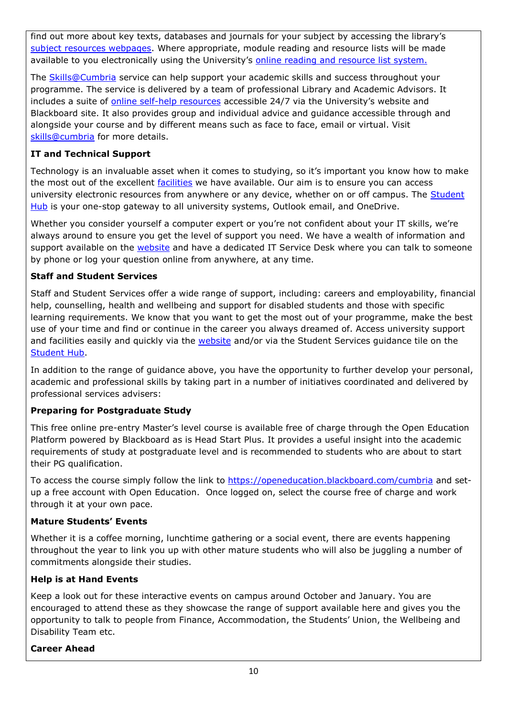find out more about key texts, databases and journals for your subject by accessing the library's [subject resources webpages.](http://my.cumbria.ac.uk/StudentLife/Learning/Resources/Subjects/Home.aspx) Where appropriate, module reading and resource lists will be made available to you electronically using the University's [online reading and resource list system.](https://cumbria.rebuslist.com/)

The **Skills@Cumbria** service can help support your academic skills and success throughout your programme. The service is delivered by a team of professional Library and Academic Advisors. It includes a suite of [online self-help resources](https://my.cumbria.ac.uk/Student-Life/Learning/Skills-Cumbria/) accessible 24/7 via the University's website and Blackboard site. It also provides group and individual advice and guidance accessible through and alongside your course and by different means such as face to face, email or virtual. Visit [skills@cumbria](https://my.cumbria.ac.uk/Student-Life/Learning/Skills-Cumbria/) for more details.

# **IT and Technical Support**

Technology is an invaluable asset when it comes to studying, so it's important you know how to make the most out of the excellent [facilities](https://www.cumbria.ac.uk/student-life/facilities/it-facilities/) we have available. Our aim is to ensure you can access university electronic resources from anywhere or any device, whether on or off campus. The Student [Hub](https://universityofcumbria.mydaycloud.com/dashboard/allsorts) is your one-stop gateway to all university systems, Outlook email, and OneDrive.

Whether you consider yourself a computer expert or you're not confident about your IT skills, we're always around to ensure you get the level of support you need. We have a wealth of information and support available on the [website](https://my.cumbria.ac.uk/Student-Life/it-media/) and have a dedicated IT Service Desk where you can talk to someone by phone or log your question online from anywhere, at any time.

## **Staff and Student Services**

Staff and Student Services offer a wide range of support, including: careers and employability, financial help, counselling, health and wellbeing and support for disabled students and those with specific learning requirements. We know that you want to get the most out of your programme, make the best use of your time and find or continue in the career you always dreamed of. Access university support and facilities easily and quickly via the [website](https://my.cumbria.ac.uk/) and/or via the Student Services guidance tile on the [Student Hub.](https://universityofcumbria.mydaycloud.com/dashboard/allsorts)

In addition to the range of guidance above, you have the opportunity to further develop your personal, academic and professional skills by taking part in a number of initiatives coordinated and delivered by professional services advisers:

# **Preparing for Postgraduate Study**

This free online pre-entry Master's level course is available free of charge through the Open Education Platform powered by Blackboard as is Head Start Plus. It provides a useful insight into the academic requirements of study at postgraduate level and is recommended to students who are about to start their PG qualification.

To access the course simply follow the link to<https://openeducation.blackboard.com/cumbria> and setup a free account with Open Education. Once logged on, select the course free of charge and work through it at your own pace.

#### **Mature Students' Events**

Whether it is a coffee morning, lunchtime gathering or a social event, there are events happening throughout the year to link you up with other mature students who will also be juggling a number of commitments alongside their studies.

#### **Help is at Hand Events**

Keep a look out for these interactive events on campus around October and January. You are encouraged to attend these as they showcase the range of support available here and gives you the opportunity to talk to people from Finance, Accommodation, the Students' Union, the Wellbeing and Disability Team etc.

#### **Career Ahead**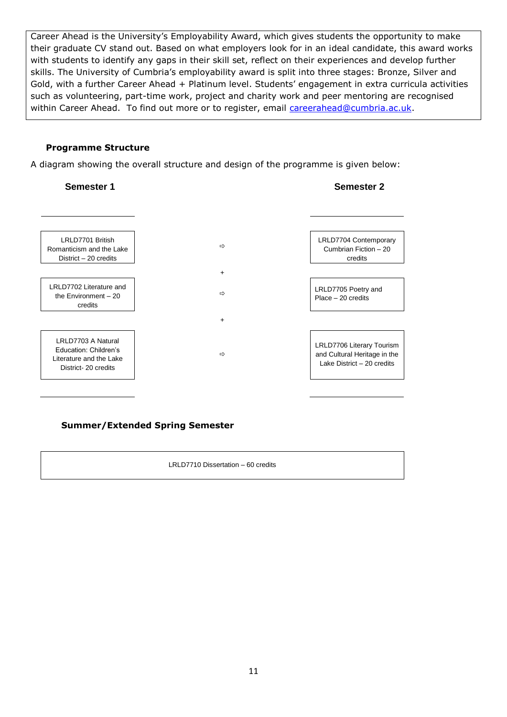Career Ahead is the University's Employability Award, which gives students the opportunity to make their graduate CV stand out. Based on what employers look for in an ideal candidate, this award works with students to identify any gaps in their skill set, reflect on their experiences and develop further skills. The University of Cumbria's employability award is split into three stages: Bronze, Silver and Gold, with a further Career Ahead + Platinum level. Students' engagement in extra curricula activities such as volunteering, part-time work, project and charity work and peer mentoring are recognised within Career Ahead. To find out more or to register, email [careerahead@cumbria.ac.uk.](mailto:careerahead@cumbria.ac.uk)

#### **Programme Structure**

A diagram showing the overall structure and design of the programme is given below:



#### **Summer/Extended Spring Semester**

LRLD7710 Dissertation – 60 credits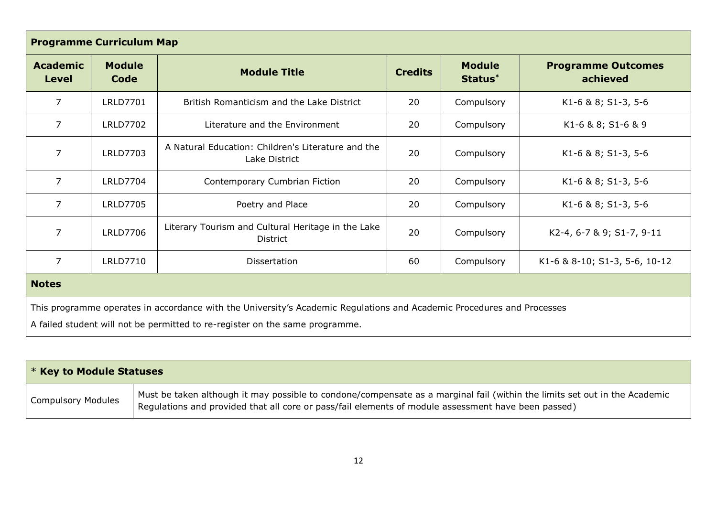| <b>Programme Curriculum Map</b>                                                                                                                                                                        |                       |                                                                       |                |                          |                                       |
|--------------------------------------------------------------------------------------------------------------------------------------------------------------------------------------------------------|-----------------------|-----------------------------------------------------------------------|----------------|--------------------------|---------------------------------------|
| <b>Academic</b><br>Level                                                                                                                                                                               | <b>Module</b><br>Code | <b>Module Title</b>                                                   | <b>Credits</b> | <b>Module</b><br>Status* | <b>Programme Outcomes</b><br>achieved |
| $\overline{7}$                                                                                                                                                                                         | <b>LRLD7701</b>       | British Romanticism and the Lake District                             | 20             | Compulsory               | K1-6 & 8; S1-3, 5-6                   |
| $\overline{7}$                                                                                                                                                                                         | <b>LRLD7702</b>       | Literature and the Environment                                        | 20             | Compulsory               | K1-6 & 8; S1-6 & 9                    |
| $\overline{7}$                                                                                                                                                                                         | <b>LRLD7703</b>       | A Natural Education: Children's Literature and the<br>Lake District   | 20             | Compulsory               | K1-6 & 8; S1-3, 5-6                   |
| $\overline{7}$                                                                                                                                                                                         | <b>LRLD7704</b>       | Contemporary Cumbrian Fiction                                         | 20             | Compulsory               | K1-6 & 8; S1-3, 5-6                   |
| $\overline{7}$                                                                                                                                                                                         | <b>LRLD7705</b>       | Poetry and Place                                                      | 20             | Compulsory               | K1-6 & 8; S1-3, 5-6                   |
| $\overline{7}$                                                                                                                                                                                         | <b>LRLD7706</b>       | Literary Tourism and Cultural Heritage in the Lake<br><b>District</b> | 20             | Compulsory               | K2-4, 6-7 & 9; S1-7, 9-11             |
| $\overline{7}$                                                                                                                                                                                         | <b>LRLD7710</b>       | Dissertation                                                          | 60             | Compulsory               | K1-6 & 8-10; S1-3, 5-6, 10-12         |
| <b>Notes</b>                                                                                                                                                                                           |                       |                                                                       |                |                          |                                       |
| This programme operates in accordance with the University's Academic Regulations and Academic Procedures and Processes<br>A failed student will not be permitted to re-register on the same programme. |                       |                                                                       |                |                          |                                       |

| $\mathsf{I}$ * Key to Module Statuses |                                                                                                                                                                                                                                   |  |
|---------------------------------------|-----------------------------------------------------------------------------------------------------------------------------------------------------------------------------------------------------------------------------------|--|
| <b>Compulsory Modules</b>             | Must be taken although it may possible to condone/compensate as a marginal fail (within the limits set out in the Academic<br>Regulations and provided that all core or pass/fail elements of module assessment have been passed) |  |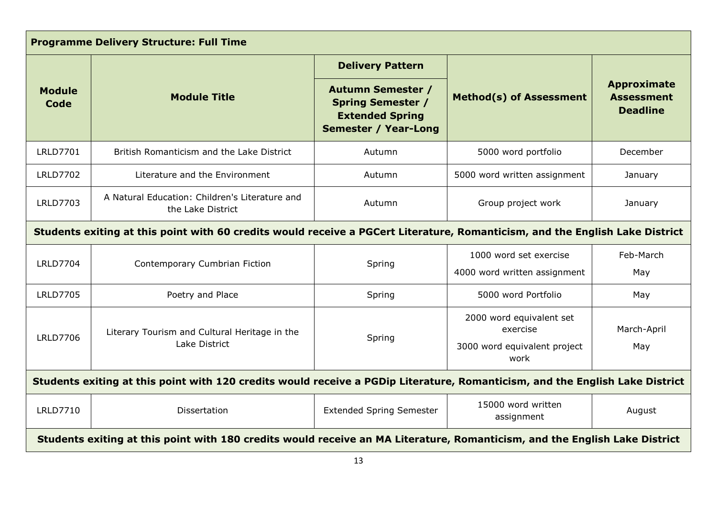| <b>Programme Delivery Structure: Full Time</b>                                                                               |                                                                     |                                                                                                               |                                                                              |                                                            |
|------------------------------------------------------------------------------------------------------------------------------|---------------------------------------------------------------------|---------------------------------------------------------------------------------------------------------------|------------------------------------------------------------------------------|------------------------------------------------------------|
|                                                                                                                              |                                                                     | <b>Delivery Pattern</b>                                                                                       |                                                                              |                                                            |
| <b>Module</b><br>Code                                                                                                        | <b>Module Title</b>                                                 | <b>Autumn Semester /</b><br><b>Spring Semester /</b><br><b>Extended Spring</b><br><b>Semester / Year-Long</b> | <b>Method(s) of Assessment</b>                                               | <b>Approximate</b><br><b>Assessment</b><br><b>Deadline</b> |
| <b>LRLD7701</b>                                                                                                              | British Romanticism and the Lake District                           | Autumn                                                                                                        | 5000 word portfolio                                                          | December                                                   |
| <b>LRLD7702</b>                                                                                                              | Literature and the Environment                                      | Autumn                                                                                                        | 5000 word written assignment                                                 | January                                                    |
| <b>LRLD7703</b>                                                                                                              | A Natural Education: Children's Literature and<br>the Lake District | Autumn                                                                                                        | Group project work                                                           | January                                                    |
| Students exiting at this point with 60 credits would receive a PGCert Literature, Romanticism, and the English Lake District |                                                                     |                                                                                                               |                                                                              |                                                            |
| <b>LRLD7704</b>                                                                                                              | Contemporary Cumbrian Fiction                                       | Spring                                                                                                        | 1000 word set exercise                                                       | Feb-March                                                  |
|                                                                                                                              |                                                                     |                                                                                                               | 4000 word written assignment                                                 | May                                                        |
| <b>LRLD7705</b>                                                                                                              | Poetry and Place                                                    | Spring                                                                                                        | 5000 word Portfolio                                                          | May                                                        |
| <b>LRLD7706</b>                                                                                                              | Literary Tourism and Cultural Heritage in the<br>Lake District      | Spring                                                                                                        | 2000 word equivalent set<br>exercise<br>3000 word equivalent project<br>work | March-April<br>May                                         |
| Students exiting at this point with 120 credits would receive a PGDip Literature, Romanticism, and the English Lake District |                                                                     |                                                                                                               |                                                                              |                                                            |
| <b>LRLD7710</b>                                                                                                              | Dissertation                                                        | <b>Extended Spring Semester</b>                                                                               | 15000 word written<br>assignment                                             | August                                                     |
| Students exiting at this point with 180 credits would receive an MA Literature, Romanticism, and the English Lake District   |                                                                     |                                                                                                               |                                                                              |                                                            |